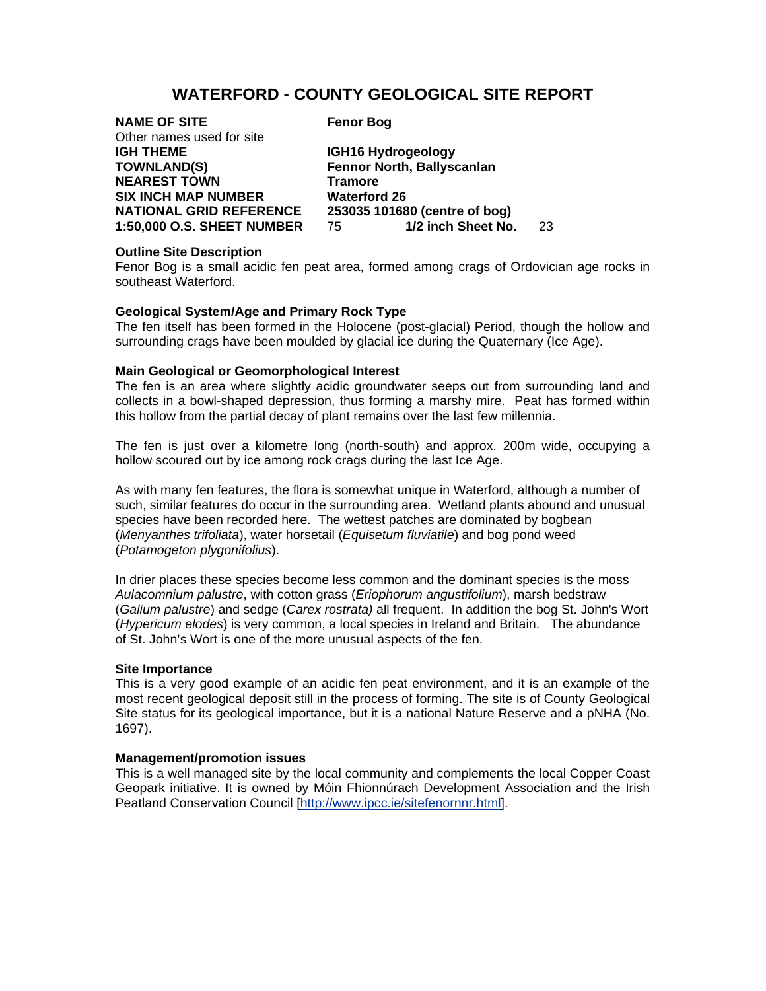# **WATERFORD - COUNTY GEOLOGICAL SITE REPORT**

| <b>NAME OF SITE</b>               | <b>Fenor Bog</b>              |     |
|-----------------------------------|-------------------------------|-----|
| Other names used for site         |                               |     |
| <b>IGH THEME</b>                  | IGH16 Hydrogeology            |     |
| <b>TOWNLAND(S)</b>                | Fennor North, Ballyscanlan    |     |
| <b>NEAREST TOWN</b>               | <b>Tramore</b>                |     |
| <b>SIX INCH MAP NUMBER</b>        | <b>Waterford 26</b>           |     |
| <b>NATIONAL GRID REFERENCE</b>    | 253035 101680 (centre of bog) |     |
| <b>1:50,000 O.S. SHEET NUMBER</b> | 1/2 inch Sheet No.<br>75      | 23. |
|                                   |                               |     |

### **Outline Site Description**

Fenor Bog is a small acidic fen peat area, formed among crags of Ordovician age rocks in southeast Waterford.

## **Geological System/Age and Primary Rock Type**

The fen itself has been formed in the Holocene (post-glacial) Period, though the hollow and surrounding crags have been moulded by glacial ice during the Quaternary (Ice Age).

## **Main Geological or Geomorphological Interest**

The fen is an area where slightly acidic groundwater seeps out from surrounding land and collects in a bowl-shaped depression, thus forming a marshy mire. Peat has formed within this hollow from the partial decay of plant remains over the last few millennia.

The fen is just over a kilometre long (north-south) and approx. 200m wide, occupying a hollow scoured out by ice among rock crags during the last Ice Age.

As with many fen features, the flora is somewhat unique in Waterford, although a number of such, similar features do occur in the surrounding area. Wetland plants abound and unusual species have been recorded here. The wettest patches are dominated by bogbean (*Menyanthes trifoliata*), water horsetail (*Equisetum fluviatile*) and bog pond weed (*Potamogeton plygonifolius*).

In drier places these species become less common and the dominant species is the moss *Aulacomnium palustre*, with cotton grass (*Eriophorum angustifolium*), marsh bedstraw (*Galium palustre*) and sedge (*Carex rostrata)* all frequent. In addition the bog St. John's Wort (*Hypericum elodes*) is very common, a local species in Ireland and Britain. The abundance of St. John's Wort is one of the more unusual aspects of the fen.

#### **Site Importance**

This is a very good example of an acidic fen peat environment, and it is an example of the most recent geological deposit still in the process of forming. The site is of County Geological Site status for its geological importance, but it is a national Nature Reserve and a pNHA (No. 1697).

#### **Management/promotion issues**

This is a well managed site by the local community and complements the local Copper Coast Geopark initiative. It is owned by Móin Fhionnúrach Development Association and the Irish Peatland Conservation Council [http://www.ipcc.ie/sitefenornnr.html].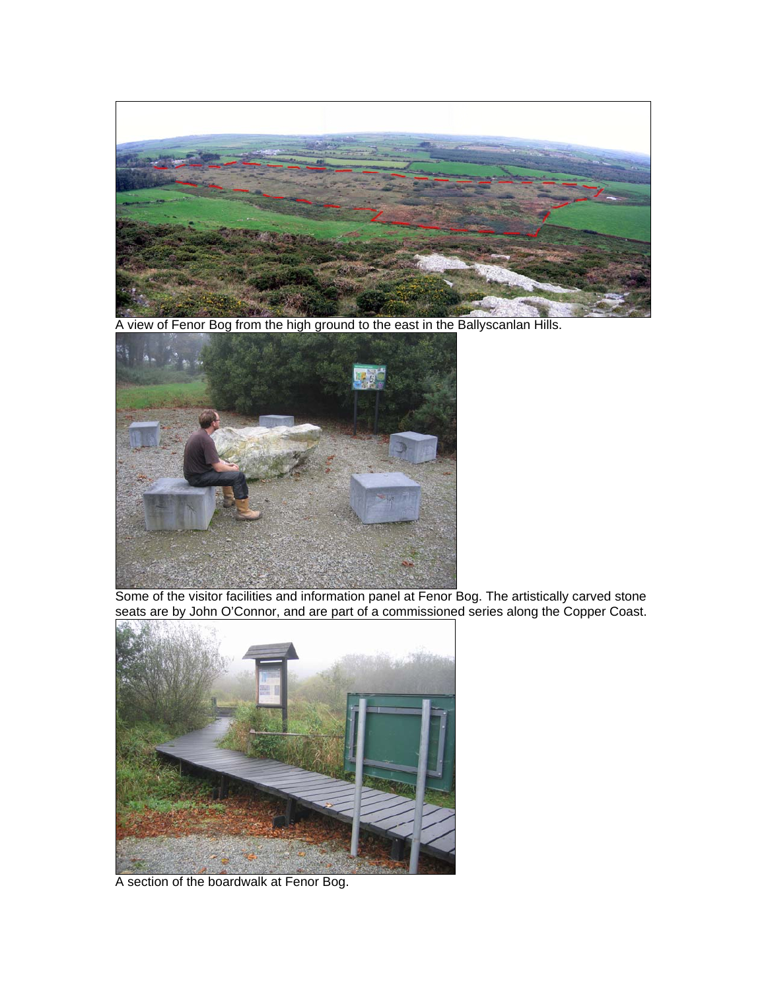

A view of Fenor Bog from the high ground to the east in the Ballyscanlan Hills.



Some of the visitor facilities and information panel at Fenor Bog. The artistically carved stone seats are by John O'Connor, and are part of a commissioned series along the Copper Coast.



A section of the boardwalk at Fenor Bog.